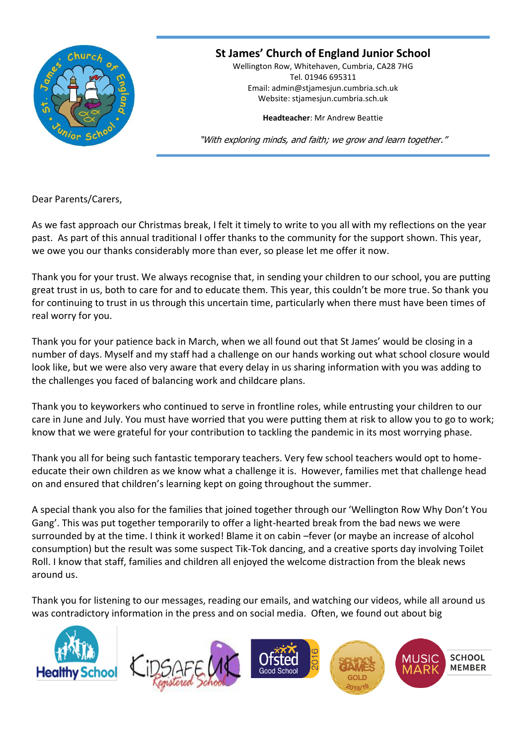

## **St James' Church of England Junior School**

Wellington Row, Whitehaven, Cumbria, CA28 7HG Tel. 01946 695311 Email: [admin@stjamesjun.cumbria.sch.uk](mailto:admin@stjamesjun.cumbria.sch.uk) Website: stjamesjun.cumbria.sch.uk

**Headteacher**: Mr Andrew Beattie

"With exploring minds, and faith; we grow and learn together."

Dear Parents/Carers,

As we fast approach our Christmas break, I felt it timely to write to you all with my reflections on the year past. As part of this annual traditional I offer thanks to the community for the support shown. This year, we owe you our thanks considerably more than ever, so please let me offer it now.

Thank you for your trust. We always recognise that, in sending your children to our school, you are putting great trust in us, both to care for and to educate them. This year, this couldn't be more true. So thank you for continuing to trust in us through this uncertain time, particularly when there must have been times of real worry for you.

Thank you for your patience back in March, when we all found out that St James' would be closing in a number of days. Myself and my staff had a challenge on our hands working out what school closure would look like, but we were also very aware that every delay in us sharing information with you was adding to the challenges you faced of balancing work and childcare plans.

Thank you to keyworkers who continued to serve in frontline roles, while entrusting your children to our care in June and July. You must have worried that you were putting them at risk to allow you to go to work; know that we were grateful for your contribution to tackling the pandemic in its most worrying phase.

Thank you all for being such fantastic temporary teachers. Very few school teachers would opt to homeeducate their own children as we know what a challenge it is. However, families met that challenge head on and ensured that children's learning kept on going throughout the summer.

A special thank you also for the families that joined together through our 'Wellington Row Why Don't You Gang'. This was put together temporarily to offer a light-hearted break from the bad news we were surrounded by at the time. I think it worked! Blame it on cabin –fever (or maybe an increase of alcohol consumption) but the result was some suspect Tik-Tok dancing, and a creative sports day involving Toilet Roll. I know that staff, families and children all enjoyed the welcome distraction from the bleak news around us.

Thank you for listening to our messages, reading our emails, and watching our videos, while all around us was contradictory information in the press and on social media. Often, we found out about big